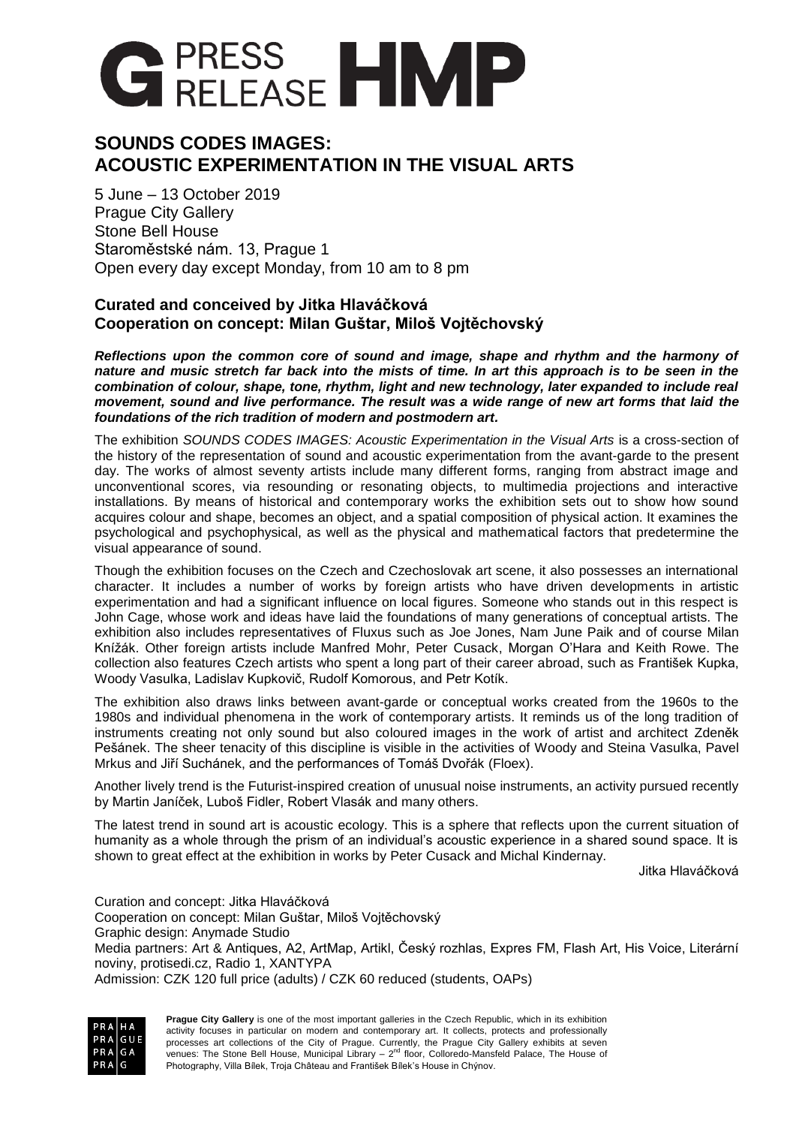

# **SOUNDS CODES IMAGES: ACOUSTIC EXPERIMENTATION IN THE VISUAL ARTS**

5 June – 13 October 2019 Prague City Gallery Stone Bell House Staroměstské nám. 13, Prague 1 Open every day except Monday, from 10 am to 8 pm

# **Curated and conceived by Jitka Hlaváčková Cooperation on concept: Milan Guštar, Miloš Vojtěchovský**

*Reflections upon the common core of sound and image, shape and rhythm and the harmony of nature and music stretch far back into the mists of time. In art this approach is to be seen in the combination of colour, shape, tone, rhythm, light and new technology, later expanded to include real movement, sound and live performance. The result was a wide range of new art forms that laid the foundations of the rich tradition of modern and postmodern art.*

The exhibition *SOUNDS CODES IMAGES: Acoustic Experimentation in the Visual Arts* is a cross-section of the history of the representation of sound and acoustic experimentation from the avant-garde to the present day. The works of almost seventy artists include many different forms, ranging from abstract image and unconventional scores, via resounding or resonating objects, to multimedia projections and interactive installations. By means of historical and contemporary works the exhibition sets out to show how sound acquires colour and shape, becomes an object, and a spatial composition of physical action. It examines the psychological and psychophysical, as well as the physical and mathematical factors that predetermine the visual appearance of sound.

Though the exhibition focuses on the Czech and Czechoslovak art scene, it also possesses an international character. It includes a number of works by foreign artists who have driven developments in artistic experimentation and had a significant influence on local figures. Someone who stands out in this respect is John Cage, whose work and ideas have laid the foundations of many generations of conceptual artists. The exhibition also includes representatives of Fluxus such as Joe Jones, Nam June Paik and of course Milan Knížák. Other foreign artists include Manfred Mohr, Peter Cusack, Morgan O'Hara and Keith Rowe. The collection also features Czech artists who spent a long part of their career abroad, such as František Kupka, Woody Vasulka, Ladislav Kupkovič, Rudolf Komorous, and Petr Kotík.

The exhibition also draws links between avant-garde or conceptual works created from the 1960s to the 1980s and individual phenomena in the work of contemporary artists. It reminds us of the long tradition of instruments creating not only sound but also coloured images in the work of artist and architect Zdeněk Pešánek. The sheer tenacity of this discipline is visible in the activities of Woody and Steina Vasulka, Pavel Mrkus and Jiří Suchánek, and the performances of Tomáš Dvořák (Floex).

Another lively trend is the Futurist-inspired creation of unusual noise instruments, an activity pursued recently by Martin Janíček, Luboš Fidler, Robert Vlasák and many others.

The latest trend in sound art is acoustic ecology. This is a sphere that reflects upon the current situation of humanity as a whole through the prism of an individual's acoustic experience in a shared sound space. It is shown to great effect at the exhibition in works by Peter Cusack and Michal Kindernay.

Jitka Hlaváčková

Curation and concept: Jitka Hlaváčková Cooperation on concept: Milan Guštar, Miloš Vojtěchovský Graphic design: Anymade Studio Media partners: Art & Antiques, A2, ArtMap, Artikl, Český rozhlas, Expres FM, Flash Art, His Voice, Literární noviny, protisedi.cz, Radio 1, XANTYPA Admission: CZK 120 full price (adults) / CZK 60 reduced (students, OAPs)

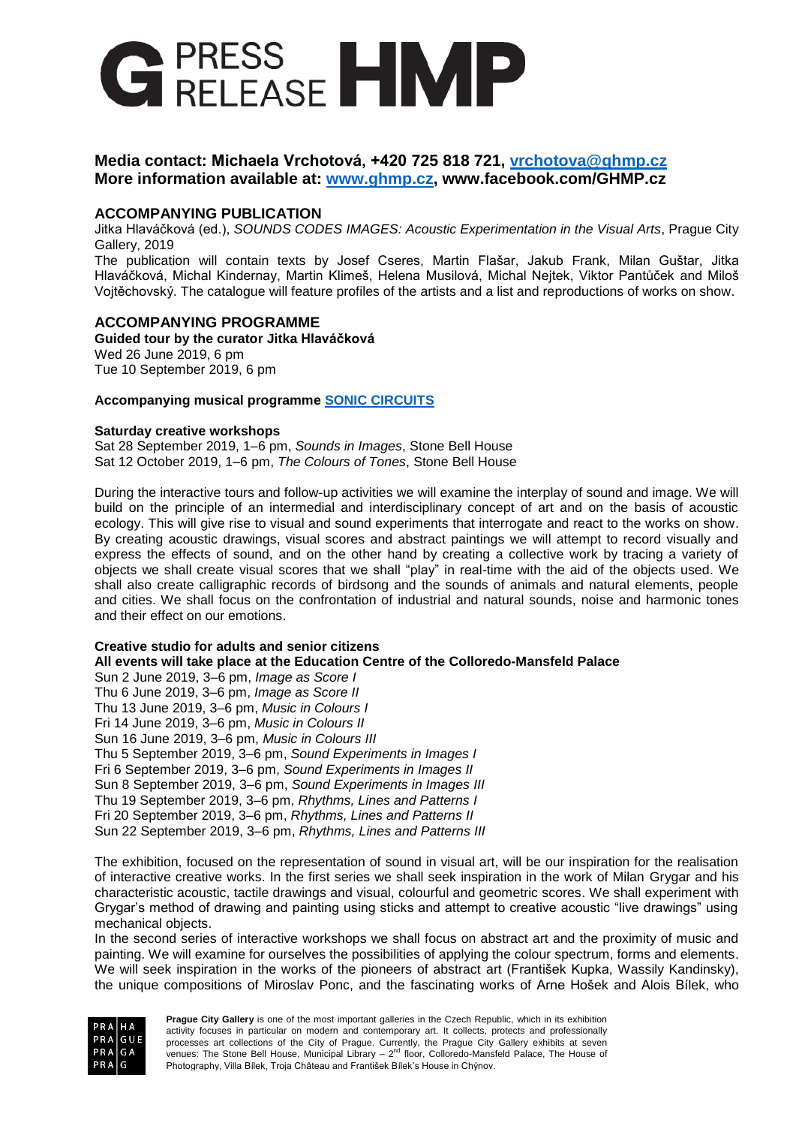

# **Media contact: Michaela Vrchotová, +420 725 818 721, [vrchotova@ghmp.cz](mailto:vrchotova@ghmp.cz) More information available at: [www.ghmp.cz,](http://www.ghmp.cz/) www.facebook.com/GHMP.cz**

# **ACCOMPANYING PUBLICATION**

Jitka Hlaváčková (ed.), *SOUNDS CODES IMAGES: Acoustic Experimentation in the Visual Arts*, Prague City Gallery, 2019

The publication will contain texts by Josef Cseres, Martin Flašar, Jakub Frank, Milan Guštar, Jitka Hlaváčková, Michal Kindernay, Martin Klimeš, Helena Musilová, Michal Nejtek, Viktor Pantůček and Miloš Vojtěchovský. The catalogue will feature profiles of the artists and a list and reproductions of works on show.

## **ACCOMPANYING PROGRAMME**

**Guided tour by the curator Jitka Hlaváčková** Wed 26 June 2019, 6 pm Tue 10 September 2019, 6 pm

### **Accompanying musical programme [SONIC CIRCUITS](http://en.ghmp.cz/data/files/engDOPRO_PROGRAM_K_VYSTAVE_ZVUKY%2C_K%C3%93DY%2C_OBRAZY_OKMV_final.pdf)**

### **Saturday creative workshops**

Sat 28 September 2019, 1–6 pm, *Sounds in Images*, Stone Bell House Sat 12 October 2019, 1–6 pm, *The Colours of Tones*, Stone Bell House

During the interactive tours and follow-up activities we will examine the interplay of sound and image. We will build on the principle of an intermedial and interdisciplinary concept of art and on the basis of acoustic ecology. This will give rise to visual and sound experiments that interrogate and react to the works on show. By creating acoustic drawings, visual scores and abstract paintings we will attempt to record visually and express the effects of sound, and on the other hand by creating a collective work by tracing a variety of objects we shall create visual scores that we shall "play" in real-time with the aid of the objects used. We shall also create calligraphic records of birdsong and the sounds of animals and natural elements, people and cities. We shall focus on the confrontation of industrial and natural sounds, noise and harmonic tones and their effect on our emotions.

### **Creative studio for adults and senior citizens**

**All events will take place at the Education Centre of the Colloredo-Mansfeld Palace**

Sun 2 June 2019, 3–6 pm, *Image as Score I* Thu 6 June 2019, 3–6 pm, *Image as Score II* Thu 13 June 2019, 3–6 pm, *Music in Colours I* Fri 14 June 2019, 3–6 pm, *Music in Colours II* Sun 16 June 2019, 3–6 pm, *Music in Colours III* Thu 5 September 2019, 3–6 pm, *Sound Experiments in Images I* Fri 6 September 2019, 3–6 pm, *Sound Experiments in Images II* Sun 8 September 2019, 3–6 pm, *Sound Experiments in Images III* Thu 19 September 2019, 3–6 pm, *Rhythms, Lines and Patterns I* Fri 20 September 2019, 3–6 pm, *Rhythms, Lines and Patterns II* Sun 22 September 2019, 3–6 pm, *Rhythms, Lines and Patterns III*

The exhibition, focused on the representation of sound in visual art, will be our inspiration for the realisation of interactive creative works. In the first series we shall seek inspiration in the work of Milan Grygar and his characteristic acoustic, tactile drawings and visual, colourful and geometric scores. We shall experiment with Grygar's method of drawing and painting using sticks and attempt to creative acoustic "live drawings" using mechanical objects.

In the second series of interactive workshops we shall focus on abstract art and the proximity of music and painting. We will examine for ourselves the possibilities of applying the colour spectrum, forms and elements. We will seek inspiration in the works of the pioneers of abstract art (František Kupka, Wassily Kandinsky), the unique compositions of Miroslav Ponc, and the fascinating works of Arne Hošek and Alois Bílek, who